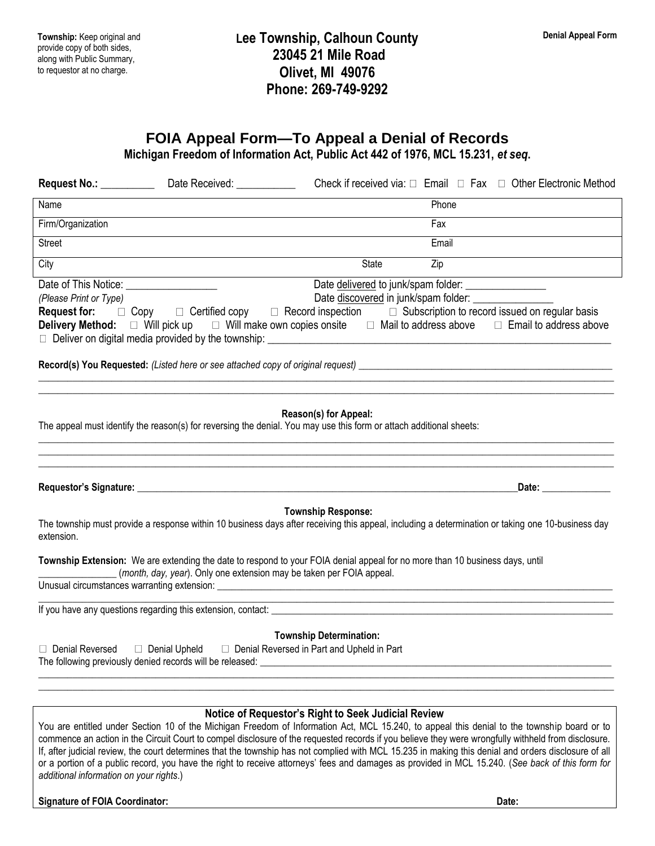**Township:** Keep original and provide copy of both sides, along with Public Summary, to requestor at no charge.

## **Lee Township, Calhoun County 23045 21 Mile Road Olivet, MI 49076 Phone: 269-749-9292**

## **FOIA Appeal Form—To Appeal a Denial of Records**

**Michigan Freedom of Information Act, Public Act 442 of 1976, MCL 15.231,** *et seq***.**

|                                         | Date Received: ______________                                                | Check if received via: $\Box$ Email $\Box$ Fax $\Box$ Other Electronic Method                                                                                                                                                                                                                                                                                                                                                                                                                                                                                                                                                                                          |
|-----------------------------------------|------------------------------------------------------------------------------|------------------------------------------------------------------------------------------------------------------------------------------------------------------------------------------------------------------------------------------------------------------------------------------------------------------------------------------------------------------------------------------------------------------------------------------------------------------------------------------------------------------------------------------------------------------------------------------------------------------------------------------------------------------------|
| Name                                    |                                                                              | Phone                                                                                                                                                                                                                                                                                                                                                                                                                                                                                                                                                                                                                                                                  |
| Firm/Organization                       |                                                                              | Fax                                                                                                                                                                                                                                                                                                                                                                                                                                                                                                                                                                                                                                                                    |
| Street                                  |                                                                              | Email                                                                                                                                                                                                                                                                                                                                                                                                                                                                                                                                                                                                                                                                  |
| City                                    |                                                                              | $\overline{Zip}$<br>State                                                                                                                                                                                                                                                                                                                                                                                                                                                                                                                                                                                                                                              |
| (Please Print or Type)                  |                                                                              | Date delivered to junk/spam folder: ________________<br>Date discovered in junk/spam folder: ____________<br><b>Request for:</b> $\Box$ Copy $\Box$ Certified copy $\Box$ Record inspection $\Box$ Subscription to record issued on regular basis                                                                                                                                                                                                                                                                                                                                                                                                                      |
|                                         |                                                                              | Reason(s) for Appeal:<br>The appeal must identify the reason(s) for reversing the denial. You may use this form or attach additional sheets:<br>,我们就会在这里的,我们就会在这里的时候,我们就会在这里的时候,我们就会在这里的时候,我们就会在这里的时候,我们就会在这里的时候,我们就会在这里的时候,我们就会                                                                                                                                                                                                                                                                                                                                                                                                                                       |
|                                         |                                                                              | Date: the contract of the contract of the contract of the contract of the contract of the contract of the contract of the contract of the contract of the contract of the contract of the contract of the contract of the cont                                                                                                                                                                                                                                                                                                                                                                                                                                         |
| extension.                              |                                                                              | <b>Township Response:</b><br>The township must provide a response within 10 business days after receiving this appeal, including a determination or taking one 10-business day                                                                                                                                                                                                                                                                                                                                                                                                                                                                                         |
|                                         | (month, day, year). Only one extension may be taken per FOIA appeal.         | Township Extension: We are extending the date to respond to your FOIA denial appeal for no more than 10 business days, until                                                                                                                                                                                                                                                                                                                                                                                                                                                                                                                                           |
|                                         |                                                                              |                                                                                                                                                                                                                                                                                                                                                                                                                                                                                                                                                                                                                                                                        |
| Denial Reversed                         | Denial Upheld<br>The following previously denied records will be released: _ | <b>Township Determination:</b><br>Denial Reversed in Part and Upheld in Part                                                                                                                                                                                                                                                                                                                                                                                                                                                                                                                                                                                           |
| additional information on your rights.) |                                                                              | Notice of Requestor's Right to Seek Judicial Review<br>You are entitled under Section 10 of the Michigan Freedom of Information Act, MCL 15.240, to appeal this denial to the township board or to<br>commence an action in the Circuit Court to compel disclosure of the requested records if you believe they were wrongfully withheld from disclosure.<br>If, after judicial review, the court determines that the township has not complied with MCL 15.235 in making this denial and orders disclosure of all<br>or a portion of a public record, you have the right to receive attorneys' fees and damages as provided in MCL 15.240. (See back of this form for |

## **Signature of FOIA Coordinator: Date:**